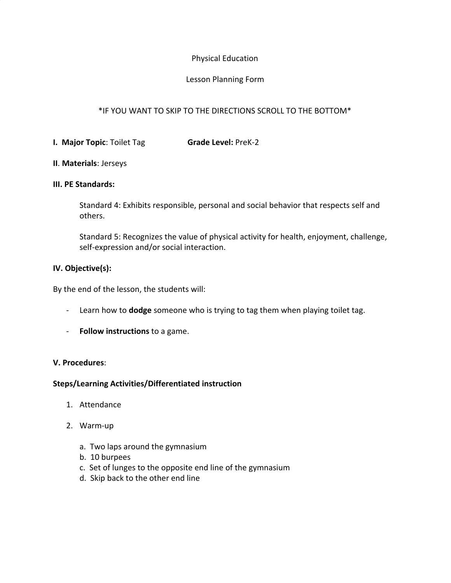## Physical Education

### Lesson Planning Form

# \*IF YOU WANT TO SKIP TO THE DIRECTIONS SCROLL TO THE BOTTOM\*

**I. Major Topic**: Toilet Tag **Grade Level:** PreK-2

#### **II**. **Materials**: Jerseys

#### **III. PE Standards:**

Standard 4: Exhibits responsible, personal and social behavior that respects self and others.

Standard 5: Recognizes the value of physical activity for health, enjoyment, challenge, self-expression and/or social interaction.

#### **IV. Objective(s):**

By the end of the lesson, the students will:

- Learn how to **dodge** someone who is trying to tag them when playing toilet tag.
- **Follow instructions** to a game.

#### **V. Procedures**:

#### **Steps/Learning Activities/Differentiated instruction**

- 1. Attendance
- 2. Warm-up
	- a. Two laps around the gymnasium
	- b. 10 burpees
	- c. Set of lunges to the opposite end line of the gymnasium
	- d. Skip back to the other end line